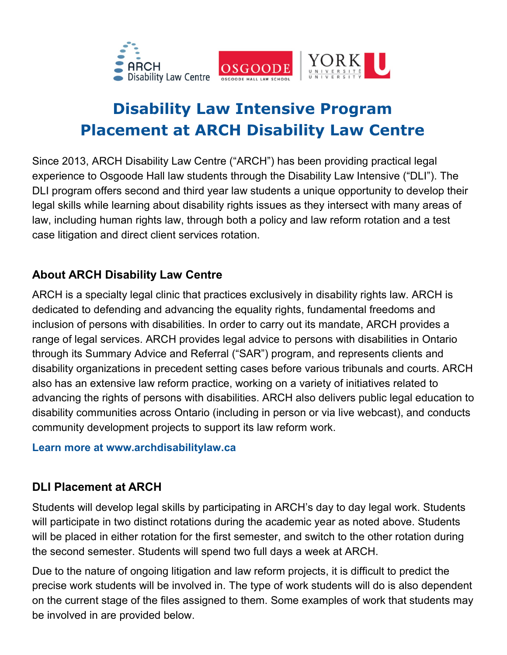



# **Disability Law Intensive Program Placement at ARCH Disability Law Centre**

Since 2013, ARCH Disability Law Centre ("ARCH") has been providing practical legal experience to Osgoode Hall law students through the Disability Law Intensive ("DLI"). The DLI program offers second and third year law students a unique opportunity to develop their legal skills while learning about disability rights issues as they intersect with many areas of law, including human rights law, through both a policy and law reform rotation and a test case litigation and direct client services rotation.

### **About ARCH Disability Law Centre**

ARCH is a specialty legal clinic that practices exclusively in disability rights law. ARCH is dedicated to defending and advancing the equality rights, fundamental freedoms and inclusion of persons with disabilities. In order to carry out its mandate, ARCH provides a range of legal services. ARCH provides legal advice to persons with disabilities in Ontario through its Summary Advice and Referral ("SAR") program, and represents clients and disability organizations in precedent setting cases before various tribunals and courts. ARCH also has an extensive law reform practice, working on a variety of initiatives related to advancing the rights of persons with disabilities. ARCH also delivers public legal education to disability communities across Ontario (including in person or via live webcast), and conducts community development projects to support its law reform work.

#### **Learn more at www.archdisabilitylaw.ca**

### **DLI Placement at ARCH**

Students will develop legal skills by participating in ARCH's day to day legal work. Students will participate in two distinct rotations during the academic year as noted above. Students will be placed in either rotation for the first semester, and switch to the other rotation during the second semester. Students will spend two full days a week at ARCH.

Due to the nature of ongoing litigation and law reform projects, it is difficult to predict the precise work students will be involved in. The type of work students will do is also dependent on the current stage of the files assigned to them. Some examples of work that students may be involved in are provided below.